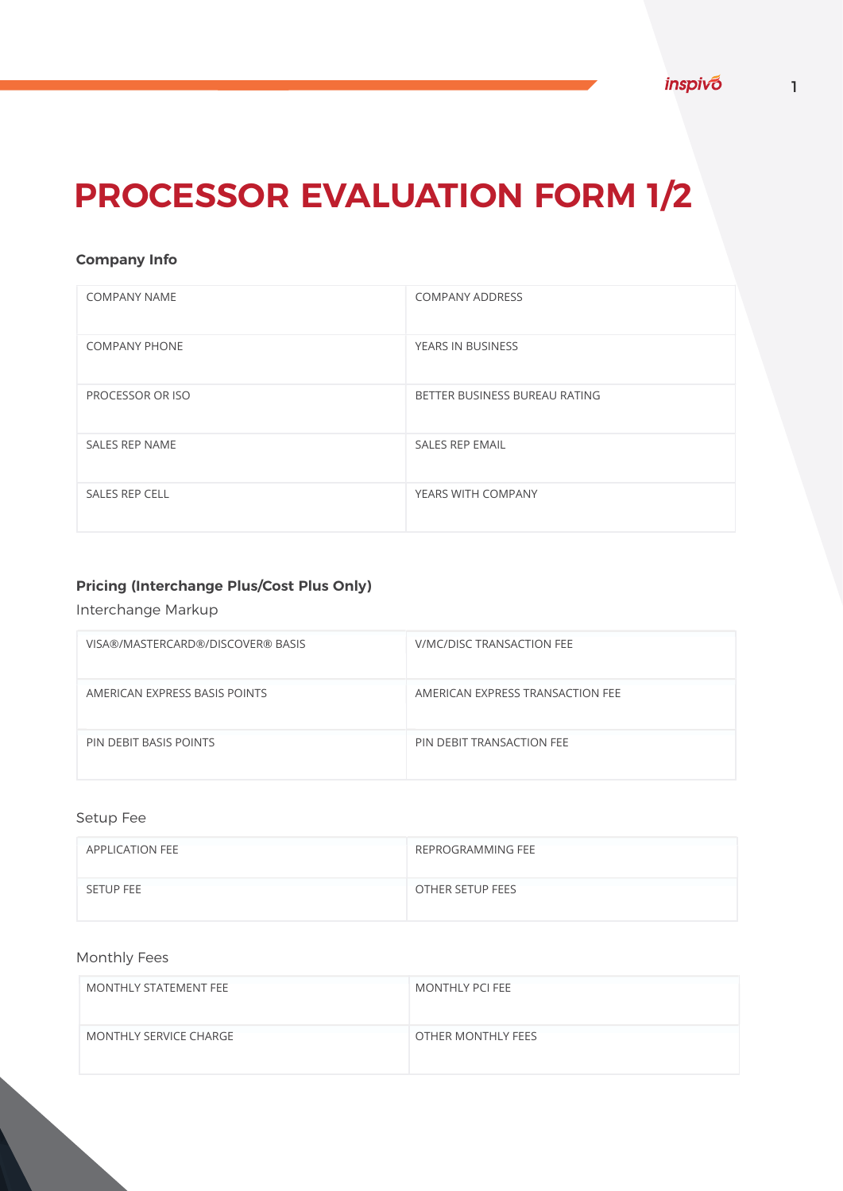# **PROCESSOR EVALUATION FORM 1/2**

### **Company Info**

| <b>COMPANY NAME</b>   | <b>COMPANY ADDRESS</b>        |
|-----------------------|-------------------------------|
| <b>COMPANY PHONE</b>  | YEARS IN BUSINESS             |
| PROCESSOR OR ISO      | BETTER BUSINESS BUREAU RATING |
| <b>SALES REP NAME</b> | <b>SALES REP EMAIL</b>        |
| <b>SALES REP CELL</b> | YEARS WITH COMPANY            |

## **Pricing (Interchange Plus/Cost Plus Only)**

### Interchange Markup

| VISA®/MASTERCARD®/DISCOVER® BASIS | V/MC/DISC TRANSACTION FEE        |
|-----------------------------------|----------------------------------|
| AMERICAN EXPRESS BASIS POINTS     | AMERICAN EXPRESS TRANSACTION FEE |
| PIN DEBIT BASIS POINTS            | PIN DEBIT TRANSACTION FEE        |

### Setup Fee

| APPLICATION FEE  | REPROGRAMMING FEE |
|------------------|-------------------|
| <b>SETUP FEE</b> | OTHER SETUP FEES  |

### Monthly Fees

| MONTHLY STATEMENT FEE  | MONTHLY PCI FEE    |
|------------------------|--------------------|
| MONTHLY SERVICE CHARGE | OTHER MONTHLY FEES |